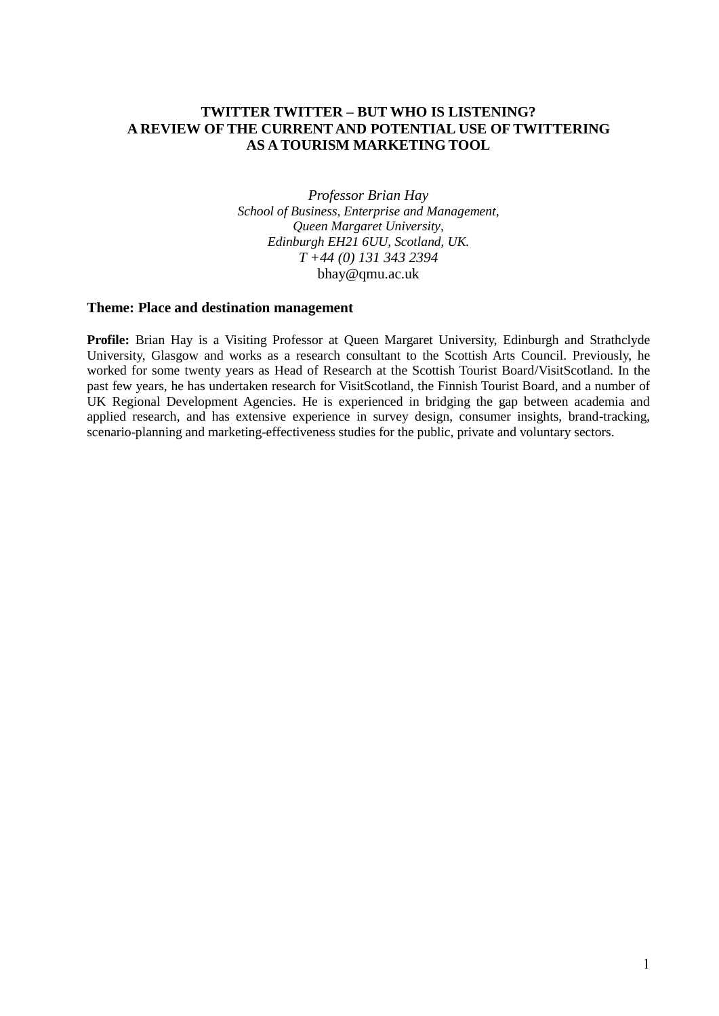# **TWITTER TWITTER – BUT WHO IS LISTENING? A REVIEW OF THE CURRENT AND POTENTIAL USE OF TWITTERING AS A TOURISM MARKETING TOOL**

*Professor Brian Hay School of Business, Enterprise and Management, Queen Margaret University, Edinburgh EH21 6UU, Scotland, UK. T +44 (0) 131 343 2394* bhay@qmu.ac.uk

# **Theme: Place and destination management**

Profile: Brian Hay is a Visiting Professor at Queen Margaret University, Edinburgh and Strathclyde University, Glasgow and works as a research consultant to the Scottish Arts Council. Previously, he worked for some twenty years as Head of Research at the Scottish Tourist Board/VisitScotland. In the past few years, he has undertaken research for VisitScotland, the Finnish Tourist Board, and a number of UK Regional Development Agencies. He is experienced in bridging the gap between academia and applied research, and has extensive experience in survey design, consumer insights, brand-tracking, scenario-planning and marketing-effectiveness studies for the public, private and voluntary sectors.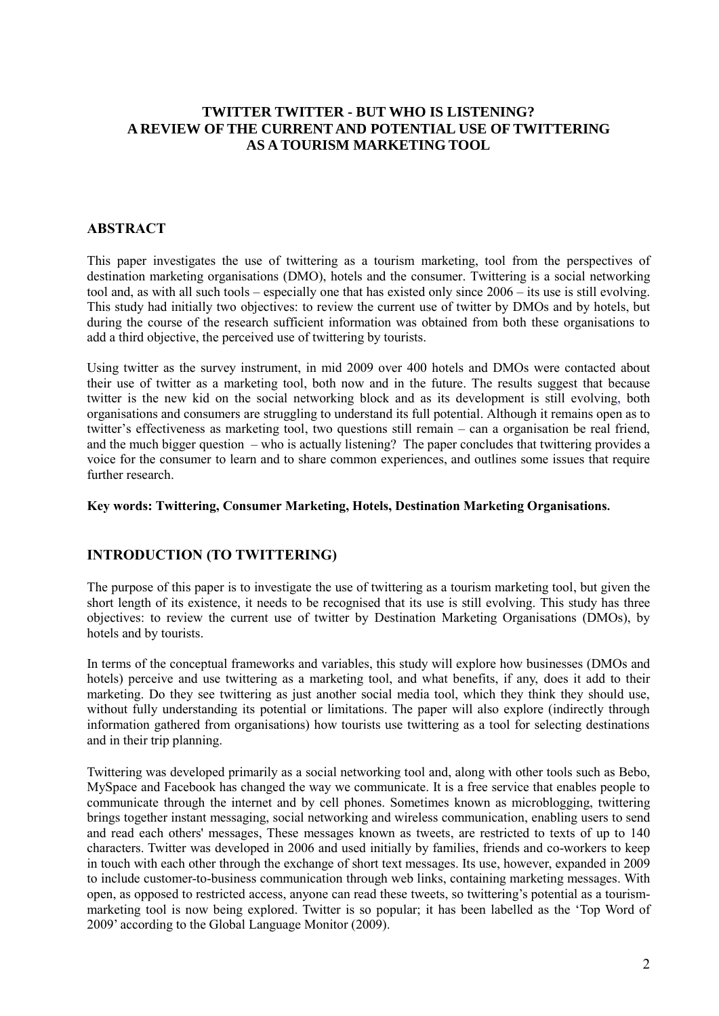# **TWITTER TWITTER - BUT WHO IS LISTENING? A REVIEW OF THE CURRENT AND POTENTIAL USE OF TWITTERING AS A TOURISM MARKETING TOOL**

# **ABSTRACT**

This paper investigates the use of twittering as a tourism marketing, tool from the perspectives of destination marketing organisations (DMO), hotels and the consumer. Twittering is a social networking tool and, as with all such tools – especially one that has existed only since 2006 – its use is still evolving. This study had initially two objectives: to review the current use of twitter by DMOs and by hotels, but during the course of the research sufficient information was obtained from both these organisations to add a third objective, the perceived use of twittering by tourists.

Using twitter as the survey instrument, in mid 2009 over 400 hotels and DMOs were contacted about their use of twitter as a marketing tool, both now and in the future. The results suggest that because twitter is the new kid on the social networking block and as its development is still evolving, both organisations and consumers are struggling to understand its full potential. Although it remains open as to twitter's effectiveness as marketing tool, two questions still remain – can a organisation be real friend, and the much bigger question – who is actually listening? The paper concludes that twittering provides a voice for the consumer to learn and to share common experiences, and outlines some issues that require further research.

# **Key words: Twittering, Consumer Marketing, Hotels, Destination Marketing Organisations.**

# **INTRODUCTION (TO TWITTERING)**

The purpose of this paper is to investigate the use of twittering as a tourism marketing tool, but given the short length of its existence, it needs to be recognised that its use is still evolving. This study has three objectives: to review the current use of twitter by Destination Marketing Organisations (DMOs), by hotels and by tourists.

In terms of the conceptual frameworks and variables, this study will explore how businesses (DMOs and hotels) perceive and use twittering as a marketing tool, and what benefits, if any, does it add to their marketing. Do they see twittering as just another social media tool, which they think they should use, without fully understanding its potential or limitations. The paper will also explore (indirectly through information gathered from organisations) how tourists use twittering as a tool for selecting destinations and in their trip planning.

Twittering was developed primarily as a social networking tool and, along with other tools such as Bebo, MySpace and Facebook has changed the way we communicate. It is a free service that enables people to communicate through the internet and by cell phones. Sometimes known as microblogging, twittering brings together instant messaging, social networking and wireless communication, enabling users to send and read each others' messages, These messages known as tweets, are restricted to texts of up to 140 characters. Twitter was developed in 2006 and used initially by families, friends and co-workers to keep in touch with each other through the exchange of short text messages. Its use, however, expanded in 2009 to include customer-to-business communication through web links, containing marketing messages. With open, as opposed to restricted access, anyone can read these tweets, so twittering's potential as a tourismmarketing tool is now being explored. Twitter is so popular; it has been labelled as the 'Top Word of 2009' according to the Global Language Monitor (2009).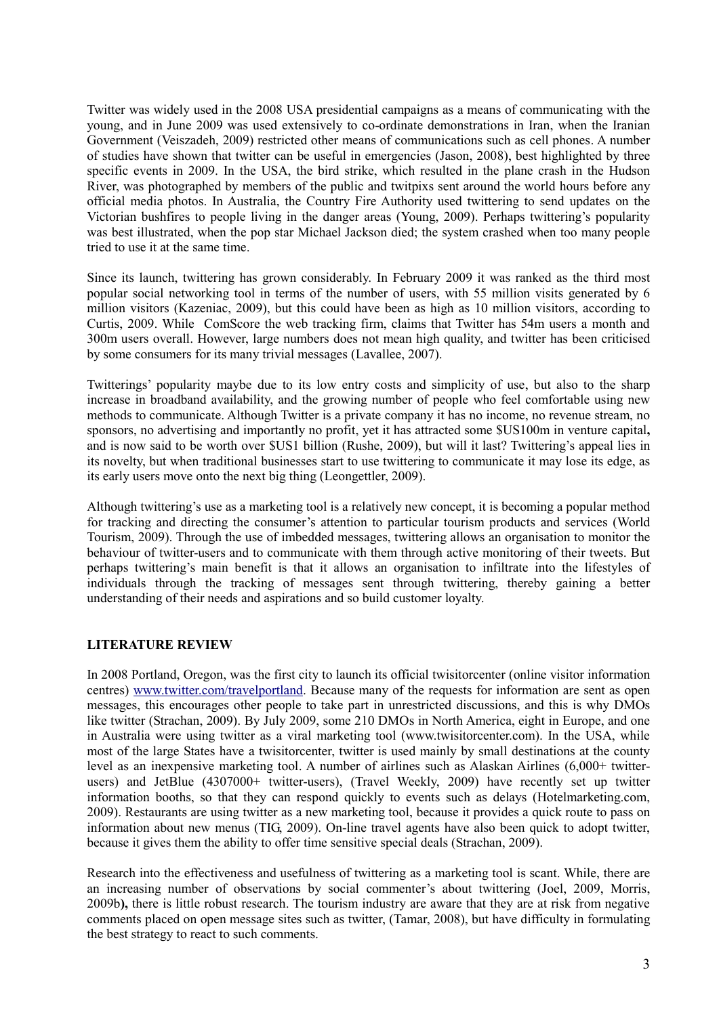Twitter was widely used in the 2008 USA presidential campaigns as a means of communicating with the young, and in June 2009 was used extensively to co-ordinate demonstrations in Iran, when the Iranian Government (Veiszadeh, 2009) restricted other means of communications such as cell phones. A number of studies have shown that twitter can be useful in emergencies (Jason, 2008), best highlighted by three specific events in 2009. In the USA, the bird strike, which resulted in the plane crash in the Hudson River, was photographed by members of the public and twitpixs sent around the world hours before any official media photos. In Australia, the Country Fire Authority used twittering to send updates on the Victorian bushfires to people living in the danger areas (Young, 2009). Perhaps twittering's popularity was best illustrated, when the pop star Michael Jackson died; the system crashed when too many people tried to use it at the same time.

Since its launch, twittering has grown considerably. In February 2009 it was ranked as the third most popular social networking tool in terms of the number of users, with 55 million visits generated by 6 million visitors (Kazeniac, 2009), but this could have been as high as 10 million visitors, according to Curtis, 2009. While ComScore the web tracking firm, claims that Twitter has 54m users a month and 300m users overall. However, large numbers does not mean high quality, and twitter has been criticised by some consumers for its many trivial messages (Lavallee, 2007).

Twitterings' popularity maybe due to its low entry costs and simplicity of use, but also to the sharp increase in broadband availability, and the growing number of people who feel comfortable using new methods to communicate. Although Twitter is a private company it has no income, no revenue stream, no sponsors, no advertising and importantly no profit, yet it has attracted some \$US100m in venture capital**,**  and is now said to be worth over \$US1 billion (Rushe, 2009), but will it last? Twittering's appeal lies in its novelty, but when traditional businesses start to use twittering to communicate it may lose its edge, as its early users move onto the next big thing (Leongettler, 2009).

Although twittering's use as a marketing tool is a relatively new concept, it is becoming a popular method for tracking and directing the consumer's attention to particular tourism products and services (World Tourism, 2009). Through the use of imbedded messages, twittering allows an organisation to monitor the behaviour of twitter-users and to communicate with them through active monitoring of their tweets. But perhaps twittering's main benefit is that it allows an organisation to infiltrate into the lifestyles of individuals through the tracking of messages sent through twittering, thereby gaining a better understanding of their needs and aspirations and so build customer loyalty.

# **LITERATURE REVIEW**

In 2008 Portland, Oregon, was the first city to launch its official twisitorcenter (online visitor information centres) [www.twitter.com/travelportland.](http://www.twitter.com/travelportland) Because many of the requests for information are sent as open messages, this encourages other people to take part in unrestricted discussions, and this is why DMOs like twitter (Strachan, 2009). By July 2009, some 210 DMOs in North America, eight in Europe, and one in Australia were using twitter as a viral marketing tool (www.twisitorcenter.com). In the USA, while most of the large States have a twisitorcenter, twitter is used mainly by small destinations at the county level as an inexpensive marketing tool. A number of airlines such as Alaskan Airlines (6,000+ twitterusers) and JetBlue (4307000+ twitter-users), (Travel Weekly, 2009) have recently set up twitter information booths, so that they can respond quickly to events such as delays (Hotelmarketing.com, 2009). Restaurants are using twitter as a new marketing tool, because it provides a quick route to pass on information about new menus (TIG, 2009). On-line travel agents have also been quick to adopt twitter, because it gives them the ability to offer time sensitive special deals (Strachan, 2009).

Research into the effectiveness and usefulness of twittering as a marketing tool is scant. While, there are an increasing number of observations by social commenter's about twittering (Joel, 2009, Morris, 2009b**),** there is little robust research. The tourism industry are aware that they are at risk from negative comments placed on open message sites such as twitter, (Tamar, 2008), but have difficulty in formulating the best strategy to react to such comments.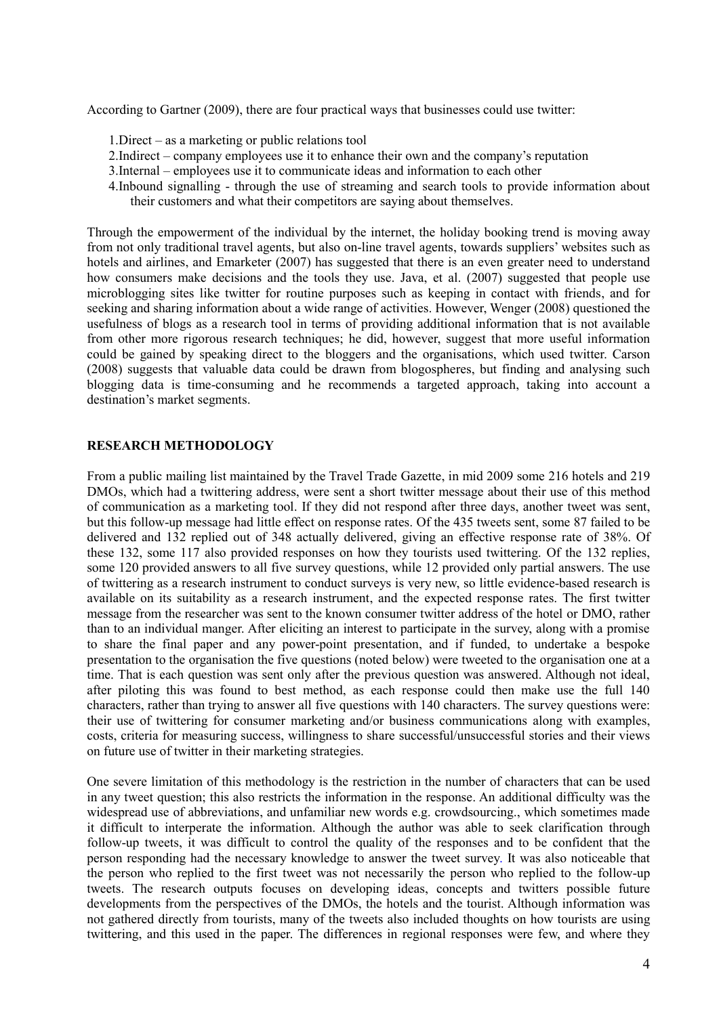According to Gartner (2009), there are four practical ways that businesses could use twitter:

- 1.Direct as a marketing or public relations tool
- 2.Indirect company employees use it to enhance their own and the company's reputation
- 3.Internal employees use it to communicate ideas and information to each other
- 4.Inbound signalling through the use of streaming and search tools to provide information about their customers and what their competitors are saying about themselves.

Through the empowerment of the individual by the internet, the holiday booking trend is moving away from not only traditional travel agents, but also on-line travel agents, towards suppliers' websites such as hotels and airlines, and Emarketer (2007) has suggested that there is an even greater need to understand how consumers make decisions and the tools they use. Java, et al. (2007) suggested that people use microblogging sites like twitter for routine purposes such as keeping in contact with friends, and for seeking and sharing information about a wide range of activities. However, Wenger (2008) questioned the usefulness of blogs as a research tool in terms of providing additional information that is not available from other more rigorous research techniques; he did, however, suggest that more useful information could be gained by speaking direct to the bloggers and the organisations, which used twitter. Carson (2008) suggests that valuable data could be drawn from blogospheres, but finding and analysing such blogging data is time-consuming and he recommends a targeted approach, taking into account a destination's market segments.

### **RESEARCH METHODOLOGY**

From a public mailing list maintained by the Travel Trade Gazette, in mid 2009 some 216 hotels and 219 DMOs, which had a twittering address, were sent a short twitter message about their use of this method of communication as a marketing tool. If they did not respond after three days, another tweet was sent, but this follow-up message had little effect on response rates. Of the 435 tweets sent, some 87 failed to be delivered and 132 replied out of 348 actually delivered, giving an effective response rate of 38%. Of these 132, some 117 also provided responses on how they tourists used twittering. Of the 132 replies, some 120 provided answers to all five survey questions, while 12 provided only partial answers. The use of twittering as a research instrument to conduct surveys is very new, so little evidence-based research is available on its suitability as a research instrument, and the expected response rates. The first twitter message from the researcher was sent to the known consumer twitter address of the hotel or DMO, rather than to an individual manger. After eliciting an interest to participate in the survey, along with a promise to share the final paper and any power-point presentation, and if funded, to undertake a bespoke presentation to the organisation the five questions (noted below) were tweeted to the organisation one at a time. That is each question was sent only after the previous question was answered. Although not ideal, after piloting this was found to best method, as each response could then make use the full 140 characters, rather than trying to answer all five questions with 140 characters. The survey questions were: their use of twittering for consumer marketing and/or business communications along with examples, costs, criteria for measuring success, willingness to share successful/unsuccessful stories and their views on future use of twitter in their marketing strategies.

One severe limitation of this methodology is the restriction in the number of characters that can be used in any tweet question; this also restricts the information in the response. An additional difficulty was the widespread use of abbreviations, and unfamiliar new words e.g. crowdsourcing., which sometimes made it difficult to interperate the information. Although the author was able to seek clarification through follow-up tweets, it was difficult to control the quality of the responses and to be confident that the person responding had the necessary knowledge to answer the tweet survey. It was also noticeable that the person who replied to the first tweet was not necessarily the person who replied to the follow-up tweets. The research outputs focuses on developing ideas, concepts and twitters possible future developments from the perspectives of the DMOs, the hotels and the tourist. Although information was not gathered directly from tourists, many of the tweets also included thoughts on how tourists are using twittering, and this used in the paper. The differences in regional responses were few, and where they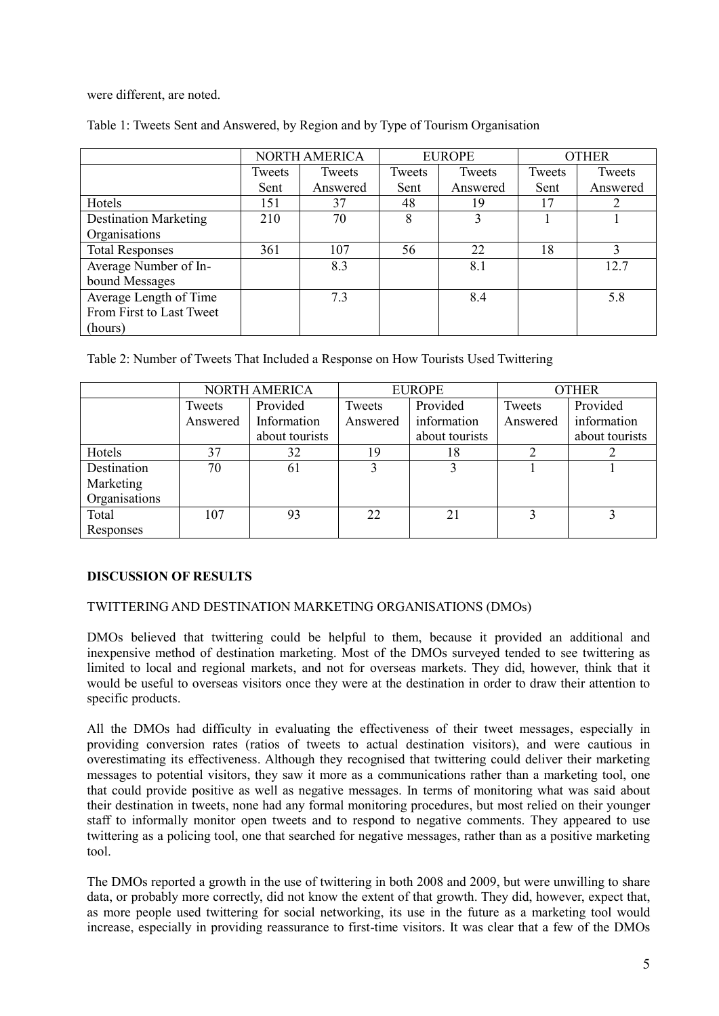were different, are noted.

|                              | <b>NORTH AMERICA</b> |          | <b>EUROPE</b> |          | <b>OTHER</b> |          |
|------------------------------|----------------------|----------|---------------|----------|--------------|----------|
|                              | Tweets               | Tweets   | Tweets        | Tweets   | Tweets       | Tweets   |
|                              | Sent                 | Answered | Sent          | Answered | Sent         | Answered |
| Hotels                       | 151                  | 37       | 48            | 19       | 17           |          |
| <b>Destination Marketing</b> | 210                  | 70       | 8             |          |              |          |
| Organisations                |                      |          |               |          |              |          |
| <b>Total Responses</b>       | 361                  | 107      | 56            | 22       | 18           |          |
| Average Number of In-        |                      | 8.3      |               | 8.1      |              | 12.7     |
| bound Messages               |                      |          |               |          |              |          |
| Average Length of Time       |                      | 7.3      |               | 8.4      |              | 5.8      |
| From First to Last Tweet     |                      |          |               |          |              |          |
| (hours)                      |                      |          |               |          |              |          |

Table 1: Tweets Sent and Answered, by Region and by Type of Tourism Organisation

Table 2: Number of Tweets That Included a Response on How Tourists Used Twittering

|               | NORTH AMERICA |                |          | <b>EUROPE</b>  | <b>OTHER</b> |                |
|---------------|---------------|----------------|----------|----------------|--------------|----------------|
|               | Tweets        | Provided       | Tweets   | Provided       | Tweets       | Provided       |
|               | Answered      | Information    | Answered | information    | Answered     | information    |
|               |               | about tourists |          | about tourists |              | about tourists |
| Hotels        | 37            | 32             | 19       | 18             |              |                |
| Destination   | 70            | 61             |          |                |              |                |
| Marketing     |               |                |          |                |              |                |
| Organisations |               |                |          |                |              |                |
| Total         | 107           | 93             | 22       | 21             |              |                |
| Responses     |               |                |          |                |              |                |

# **DISCUSSION OF RESULTS**

# TWITTERING AND DESTINATION MARKETING ORGANISATIONS (DMOs)

DMOs believed that twittering could be helpful to them, because it provided an additional and inexpensive method of destination marketing. Most of the DMOs surveyed tended to see twittering as limited to local and regional markets, and not for overseas markets. They did, however, think that it would be useful to overseas visitors once they were at the destination in order to draw their attention to specific products.

All the DMOs had difficulty in evaluating the effectiveness of their tweet messages, especially in providing conversion rates (ratios of tweets to actual destination visitors), and were cautious in overestimating its effectiveness. Although they recognised that twittering could deliver their marketing messages to potential visitors, they saw it more as a communications rather than a marketing tool, one that could provide positive as well as negative messages. In terms of monitoring what was said about their destination in tweets, none had any formal monitoring procedures, but most relied on their younger staff to informally monitor open tweets and to respond to negative comments. They appeared to use twittering as a policing tool, one that searched for negative messages, rather than as a positive marketing tool.

The DMOs reported a growth in the use of twittering in both 2008 and 2009, but were unwilling to share data, or probably more correctly, did not know the extent of that growth. They did, however, expect that, as more people used twittering for social networking, its use in the future as a marketing tool would increase, especially in providing reassurance to first-time visitors. It was clear that a few of the DMOs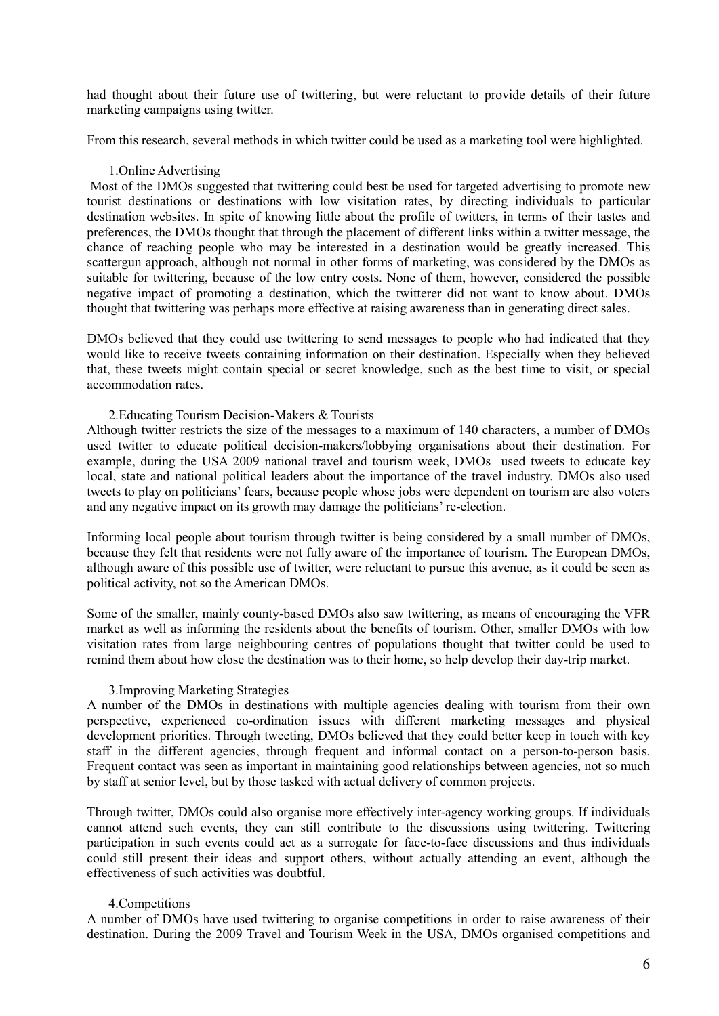had thought about their future use of twittering, but were reluctant to provide details of their future marketing campaigns using twitter.

From this research, several methods in which twitter could be used as a marketing tool were highlighted.

### 1.Online Advertising

Most of the DMOs suggested that twittering could best be used for targeted advertising to promote new tourist destinations or destinations with low visitation rates, by directing individuals to particular destination websites. In spite of knowing little about the profile of twitters, in terms of their tastes and preferences, the DMOs thought that through the placement of different links within a twitter message, the chance of reaching people who may be interested in a destination would be greatly increased. This scattergun approach, although not normal in other forms of marketing, was considered by the DMOs as suitable for twittering, because of the low entry costs. None of them, however, considered the possible negative impact of promoting a destination, which the twitterer did not want to know about. DMOs thought that twittering was perhaps more effective at raising awareness than in generating direct sales.

DMOs believed that they could use twittering to send messages to people who had indicated that they would like to receive tweets containing information on their destination. Especially when they believed that, these tweets might contain special or secret knowledge, such as the best time to visit, or special accommodation rates.

### 2.Educating Tourism Decision-Makers & Tourists

Although twitter restricts the size of the messages to a maximum of 140 characters, a number of DMOs used twitter to educate political decision-makers/lobbying organisations about their destination. For example, during the USA 2009 national travel and tourism week, DMOs used tweets to educate key local, state and national political leaders about the importance of the travel industry. DMOs also used tweets to play on politicians' fears, because people whose jobs were dependent on tourism are also voters and any negative impact on its growth may damage the politicians' re-election.

Informing local people about tourism through twitter is being considered by a small number of DMOs, because they felt that residents were not fully aware of the importance of tourism. The European DMOs, although aware of this possible use of twitter, were reluctant to pursue this avenue, as it could be seen as political activity, not so the American DMOs.

Some of the smaller, mainly county-based DMOs also saw twittering, as means of encouraging the VFR market as well as informing the residents about the benefits of tourism. Other, smaller DMOs with low visitation rates from large neighbouring centres of populations thought that twitter could be used to remind them about how close the destination was to their home, so help develop their day-trip market.

# 3.Improving Marketing Strategies

A number of the DMOs in destinations with multiple agencies dealing with tourism from their own perspective, experienced co-ordination issues with different marketing messages and physical development priorities. Through tweeting, DMOs believed that they could better keep in touch with key staff in the different agencies, through frequent and informal contact on a person-to-person basis. Frequent contact was seen as important in maintaining good relationships between agencies, not so much by staff at senior level, but by those tasked with actual delivery of common projects.

Through twitter, DMOs could also organise more effectively inter-agency working groups. If individuals cannot attend such events, they can still contribute to the discussions using twittering. Twittering participation in such events could act as a surrogate for face-to-face discussions and thus individuals could still present their ideas and support others, without actually attending an event, although the effectiveness of such activities was doubtful.

# 4.Competitions

A number of DMOs have used twittering to organise competitions in order to raise awareness of their destination. During the 2009 Travel and Tourism Week in the USA, DMOs organised competitions and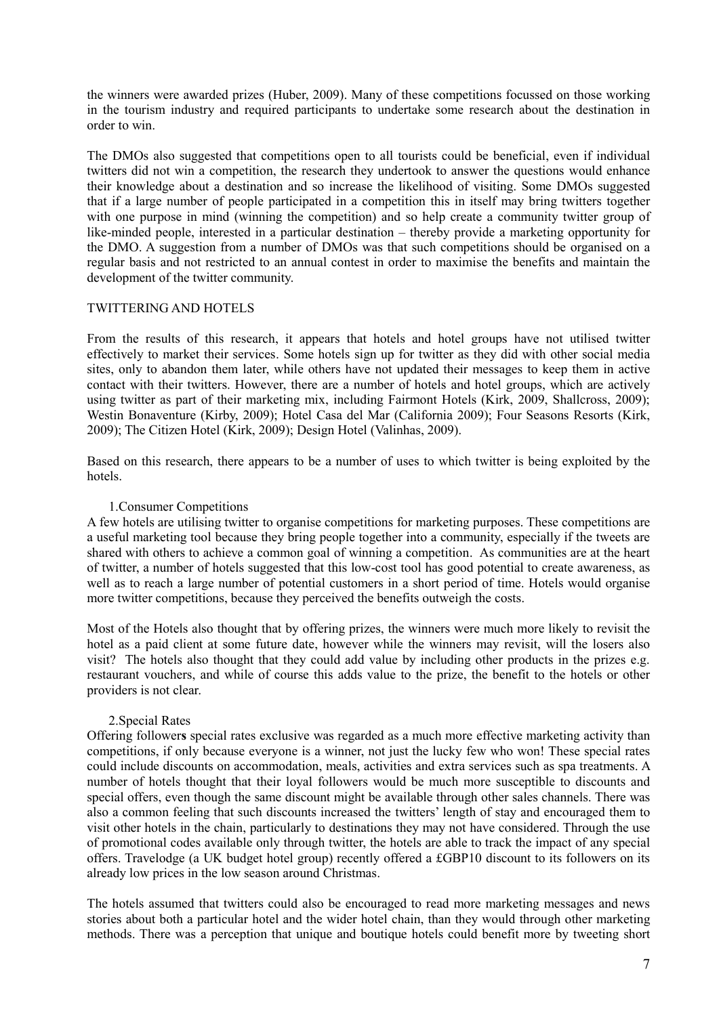the winners were awarded prizes (Huber, 2009). Many of these competitions focussed on those working in the tourism industry and required participants to undertake some research about the destination in order to win.

The DMOs also suggested that competitions open to all tourists could be beneficial, even if individual twitters did not win a competition, the research they undertook to answer the questions would enhance their knowledge about a destination and so increase the likelihood of visiting. Some DMOs suggested that if a large number of people participated in a competition this in itself may bring twitters together with one purpose in mind (winning the competition) and so help create a community twitter group of like-minded people, interested in a particular destination – thereby provide a marketing opportunity for the DMO. A suggestion from a number of DMOs was that such competitions should be organised on a regular basis and not restricted to an annual contest in order to maximise the benefits and maintain the development of the twitter community.

# TWITTERING AND HOTELS

From the results of this research, it appears that hotels and hotel groups have not utilised twitter effectively to market their services. Some hotels sign up for twitter as they did with other social media sites, only to abandon them later, while others have not updated their messages to keep them in active contact with their twitters. However, there are a number of hotels and hotel groups, which are actively using twitter as part of their marketing mix, including Fairmont Hotels (Kirk, 2009, Shallcross, 2009); Westin Bonaventure (Kirby, 2009); Hotel Casa del Mar (California 2009); Four Seasons Resorts (Kirk, 2009); The Citizen Hotel (Kirk, 2009); Design Hotel (Valinhas, 2009).

Based on this research, there appears to be a number of uses to which twitter is being exploited by the hotels.

# 1.Consumer Competitions

A few hotels are utilising twitter to organise competitions for marketing purposes. These competitions are a useful marketing tool because they bring people together into a community, especially if the tweets are shared with others to achieve a common goal of winning a competition. As communities are at the heart of twitter, a number of hotels suggested that this low-cost tool has good potential to create awareness, as well as to reach a large number of potential customers in a short period of time. Hotels would organise more twitter competitions, because they perceived the benefits outweigh the costs.

Most of the Hotels also thought that by offering prizes, the winners were much more likely to revisit the hotel as a paid client at some future date, however while the winners may revisit, will the losers also visit? The hotels also thought that they could add value by including other products in the prizes e.g. restaurant vouchers, and while of course this adds value to the prize, the benefit to the hotels or other providers is not clear.

# 2.Special Rates

Offering follower**s** special rates exclusive was regarded as a much more effective marketing activity than competitions, if only because everyone is a winner, not just the lucky few who won! These special rates could include discounts on accommodation, meals, activities and extra services such as spa treatments. A number of hotels thought that their loyal followers would be much more susceptible to discounts and special offers, even though the same discount might be available through other sales channels. There was also a common feeling that such discounts increased the twitters' length of stay and encouraged them to visit other hotels in the chain, particularly to destinations they may not have considered. Through the use of promotional codes available only through twitter, the hotels are able to track the impact of any special offers. Travelodge (a UK budget hotel group) recently offered a £GBP10 discount to its followers on its already low prices in the low season around Christmas.

The hotels assumed that twitters could also be encouraged to read more marketing messages and news stories about both a particular hotel and the wider hotel chain, than they would through other marketing methods. There was a perception that unique and boutique hotels could benefit more by tweeting short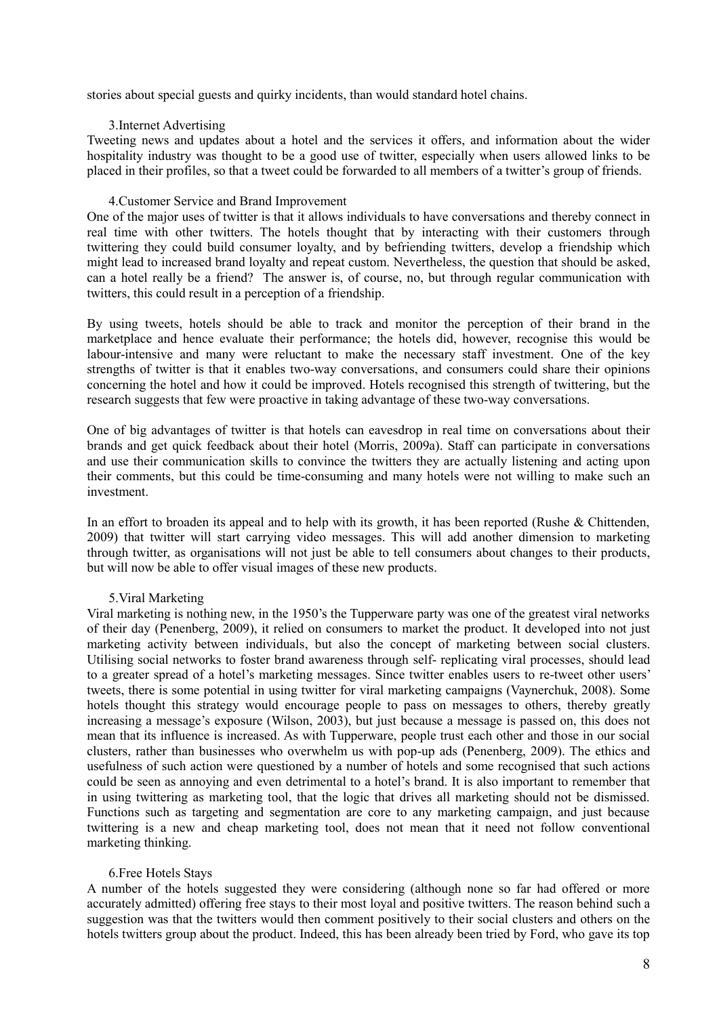stories about special guests and quirky incidents, than would standard hotel chains.

### 3.Internet Advertising

Tweeting news and updates about a hotel and the services it offers, and information about the wider hospitality industry was thought to be a good use of twitter, especially when users allowed links to be placed in their profiles, so that a tweet could be forwarded to all members of a twitter's group of friends.

### 4.Customer Service and Brand Improvement

One of the major uses of twitter is that it allows individuals to have conversations and thereby connect in real time with other twitters. The hotels thought that by interacting with their customers through twittering they could build consumer loyalty, and by befriending twitters, develop a friendship which might lead to increased brand loyalty and repeat custom. Nevertheless, the question that should be asked, can a hotel really be a friend? The answer is, of course, no, but through regular communication with twitters, this could result in a perception of a friendship.

By using tweets, hotels should be able to track and monitor the perception of their brand in the marketplace and hence evaluate their performance; the hotels did, however, recognise this would be labour-intensive and many were reluctant to make the necessary staff investment. One of the key strengths of twitter is that it enables two-way conversations, and consumers could share their opinions concerning the hotel and how it could be improved. Hotels recognised this strength of twittering, but the research suggests that few were proactive in taking advantage of these two-way conversations.

One of big advantages of twitter is that hotels can eavesdrop in real time on conversations about their brands and get quick feedback about their hotel (Morris, 2009a). Staff can participate in conversations and use their communication skills to convince the twitters they are actually listening and acting upon their comments, but this could be time-consuming and many hotels were not willing to make such an investment.

In an effort to broaden its appeal and to help with its growth, it has been reported (Rushe & Chittenden, 2009) that twitter will start carrying video messages. This will add another dimension to marketing through twitter, as organisations will not just be able to tell consumers about changes to their products, but will now be able to offer visual images of these new products.

# 5.Viral Marketing

Viral marketing is nothing new, in the 1950's the Tupperware party was one of the greatest viral networks of their day (Penenberg, 2009), it relied on consumers to market the product. It developed into not just marketing activity between individuals, but also the concept of marketing between social clusters. Utilising social networks to foster brand awareness through self- replicating viral processes, should lead to a greater spread of a hotel's marketing messages. Since twitter enables users to re-tweet other users' tweets, there is some potential in using twitter for viral marketing campaigns (Vaynerchuk, 2008). Some hotels thought this strategy would encourage people to pass on messages to others, thereby greatly increasing a message's exposure (Wilson, 2003), but just because a message is passed on, this does not mean that its influence is increased. As with Tupperware, people trust each other and those in our social clusters, rather than businesses who overwhelm us with pop-up ads (Penenberg, 2009). The ethics and usefulness of such action were questioned by a number of hotels and some recognised that such actions could be seen as annoying and even detrimental to a hotel's brand. It is also important to remember that in using twittering as marketing tool, that the logic that drives all marketing should not be dismissed. Functions such as targeting and segmentation are core to any marketing campaign, and just because twittering is a new and cheap marketing tool, does not mean that it need not follow conventional marketing thinking.

# 6.Free Hotels Stays

A number of the hotels suggested they were considering (although none so far had offered or more accurately admitted) offering free stays to their most loyal and positive twitters. The reason behind such a suggestion was that the twitters would then comment positively to their social clusters and others on the hotels twitters group about the product. Indeed, this has been already been tried by Ford, who gave its top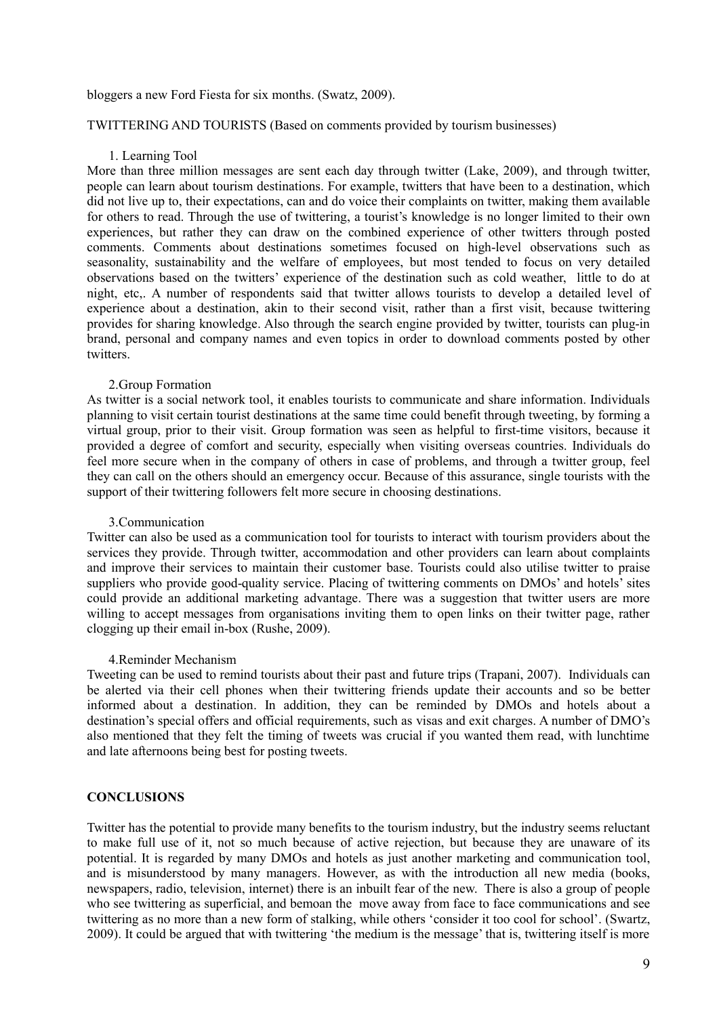#### bloggers a new Ford Fiesta for six months. (Swatz, 2009).

# TWITTERING AND TOURISTS (Based on comments provided by tourism businesses)

### 1. Learning Tool

More than three million messages are sent each day through twitter (Lake, 2009), and through twitter, people can learn about tourism destinations. For example, twitters that have been to a destination, which did not live up to, their expectations, can and do voice their complaints on twitter, making them available for others to read. Through the use of twittering, a tourist's knowledge is no longer limited to their own experiences, but rather they can draw on the combined experience of other twitters through posted comments. Comments about destinations sometimes focused on high-level observations such as seasonality, sustainability and the welfare of employees, but most tended to focus on very detailed observations based on the twitters' experience of the destination such as cold weather, little to do at night, etc,. A number of respondents said that twitter allows tourists to develop a detailed level of experience about a destination, akin to their second visit, rather than a first visit, because twittering provides for sharing knowledge. Also through the search engine provided by twitter, tourists can plug-in brand, personal and company names and even topics in order to download comments posted by other twitters.

#### 2.Group Formation

As twitter is a social network tool, it enables tourists to communicate and share information. Individuals planning to visit certain tourist destinations at the same time could benefit through tweeting, by forming a virtual group, prior to their visit. Group formation was seen as helpful to first-time visitors, because it provided a degree of comfort and security, especially when visiting overseas countries. Individuals do feel more secure when in the company of others in case of problems, and through a twitter group, feel they can call on the others should an emergency occur. Because of this assurance, single tourists with the support of their twittering followers felt more secure in choosing destinations.

### 3.Communication

Twitter can also be used as a communication tool for tourists to interact with tourism providers about the services they provide. Through twitter, accommodation and other providers can learn about complaints and improve their services to maintain their customer base. Tourists could also utilise twitter to praise suppliers who provide good-quality service. Placing of twittering comments on DMOs' and hotels' sites could provide an additional marketing advantage. There was a suggestion that twitter users are more willing to accept messages from organisations inviting them to open links on their twitter page, rather clogging up their email in-box (Rushe, 2009).

#### 4.Reminder Mechanism

Tweeting can be used to remind tourists about their past and future trips (Trapani, 2007). Individuals can be alerted via their cell phones when their twittering friends update their accounts and so be better informed about a destination. In addition, they can be reminded by DMOs and hotels about a destination's special offers and official requirements, such as visas and exit charges. A number of DMO's also mentioned that they felt the timing of tweets was crucial if you wanted them read, with lunchtime and late afternoons being best for posting tweets.

### **CONCLUSIONS**

Twitter has the potential to provide many benefits to the tourism industry, but the industry seems reluctant to make full use of it, not so much because of active rejection, but because they are unaware of its potential. It is regarded by many DMOs and hotels as just another marketing and communication tool, and is misunderstood by many managers. However, as with the introduction all new media (books, newspapers, radio, television, internet) there is an inbuilt fear of the new. There is also a group of people who see twittering as superficial, and bemoan the move away from face to face communications and see twittering as no more than a new form of stalking, while others 'consider it too cool for school'. (Swartz, 2009). It could be argued that with twittering 'the medium is the message' that is, twittering itself is more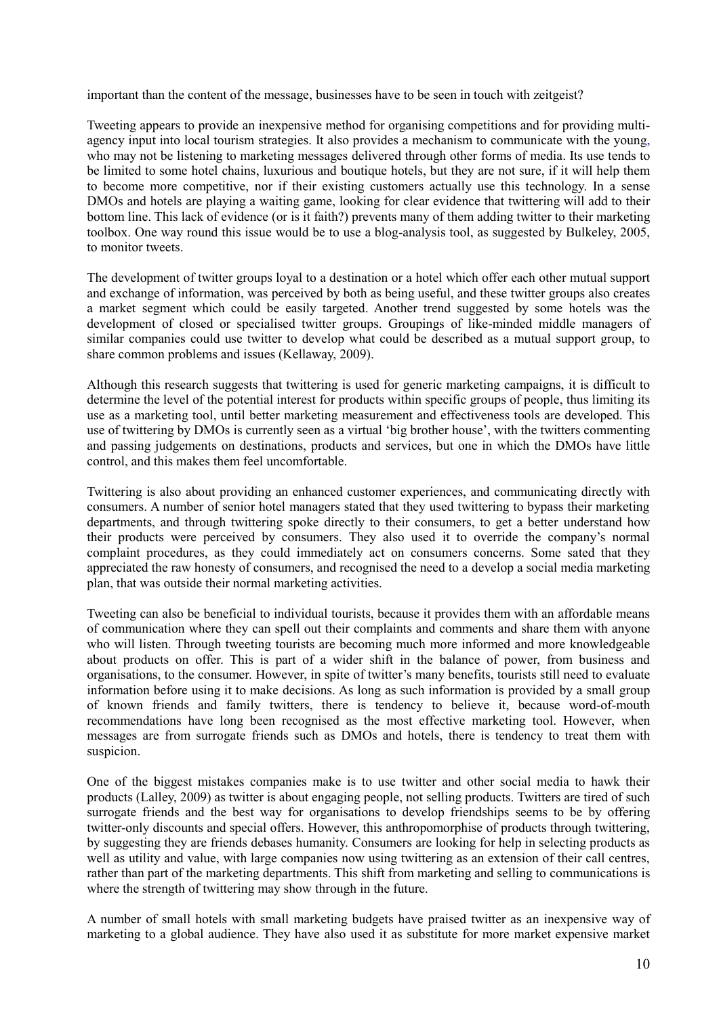important than the content of the message, businesses have to be seen in touch with zeitgeist?

Tweeting appears to provide an inexpensive method for organising competitions and for providing multiagency input into local tourism strategies. It also provides a mechanism to communicate with the young, who may not be listening to marketing messages delivered through other forms of media. Its use tends to be limited to some hotel chains, luxurious and boutique hotels, but they are not sure, if it will help them to become more competitive, nor if their existing customers actually use this technology. In a sense DMOs and hotels are playing a waiting game, looking for clear evidence that twittering will add to their bottom line. This lack of evidence (or is it faith?) prevents many of them adding twitter to their marketing toolbox. One way round this issue would be to use a blog-analysis tool, as suggested by Bulkeley, 2005, to monitor tweets.

The development of twitter groups loyal to a destination or a hotel which offer each other mutual support and exchange of information, was perceived by both as being useful, and these twitter groups also creates a market segment which could be easily targeted. Another trend suggested by some hotels was the development of closed or specialised twitter groups. Groupings of like-minded middle managers of similar companies could use twitter to develop what could be described as a mutual support group, to share common problems and issues (Kellaway, 2009).

Although this research suggests that twittering is used for generic marketing campaigns, it is difficult to determine the level of the potential interest for products within specific groups of people, thus limiting its use as a marketing tool, until better marketing measurement and effectiveness tools are developed. This use of twittering by DMOs is currently seen as a virtual 'big brother house', with the twitters commenting and passing judgements on destinations, products and services, but one in which the DMOs have little control, and this makes them feel uncomfortable.

Twittering is also about providing an enhanced customer experiences, and communicating directly with consumers. A number of senior hotel managers stated that they used twittering to bypass their marketing departments, and through twittering spoke directly to their consumers, to get a better understand how their products were perceived by consumers. They also used it to override the company's normal complaint procedures, as they could immediately act on consumers concerns. Some sated that they appreciated the raw honesty of consumers, and recognised the need to a develop a social media marketing plan, that was outside their normal marketing activities.

Tweeting can also be beneficial to individual tourists, because it provides them with an affordable means of communication where they can spell out their complaints and comments and share them with anyone who will listen. Through tweeting tourists are becoming much more informed and more knowledgeable about products on offer. This is part of a wider shift in the balance of power, from business and organisations, to the consumer. However, in spite of twitter's many benefits, tourists still need to evaluate information before using it to make decisions. As long as such information is provided by a small group of known friends and family twitters, there is tendency to believe it, because word-of-mouth recommendations have long been recognised as the most effective marketing tool. However, when messages are from surrogate friends such as DMOs and hotels, there is tendency to treat them with suspicion.

One of the biggest mistakes companies make is to use twitter and other social media to hawk their products (Lalley, 2009) as twitter is about engaging people, not selling products. Twitters are tired of such surrogate friends and the best way for organisations to develop friendships seems to be by offering twitter-only discounts and special offers. However, this anthropomorphise of products through twittering, by suggesting they are friends debases humanity. Consumers are looking for help in selecting products as well as utility and value, with large companies now using twittering as an extension of their call centres, rather than part of the marketing departments. This shift from marketing and selling to communications is where the strength of twittering may show through in the future.

A number of small hotels with small marketing budgets have praised twitter as an inexpensive way of marketing to a global audience. They have also used it as substitute for more market expensive market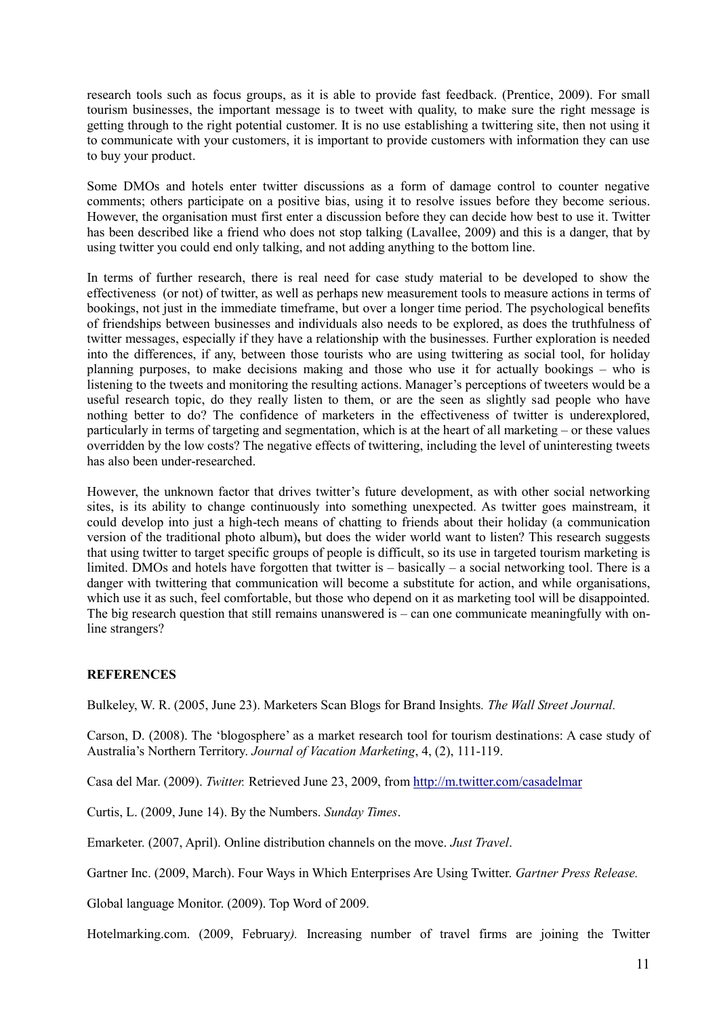research tools such as focus groups, as it is able to provide fast feedback. (Prentice, 2009). For small tourism businesses, the important message is to tweet with quality, to make sure the right message is getting through to the right potential customer. It is no use establishing a twittering site, then not using it to communicate with your customers, it is important to provide customers with information they can use to buy your product.

Some DMOs and hotels enter twitter discussions as a form of damage control to counter negative comments; others participate on a positive bias, using it to resolve issues before they become serious. However, the organisation must first enter a discussion before they can decide how best to use it. Twitter has been described like a friend who does not stop talking (Lavallee, 2009) and this is a danger, that by using twitter you could end only talking, and not adding anything to the bottom line.

In terms of further research, there is real need for case study material to be developed to show the effectiveness (or not) of twitter, as well as perhaps new measurement tools to measure actions in terms of bookings, not just in the immediate timeframe, but over a longer time period. The psychological benefits of friendships between businesses and individuals also needs to be explored, as does the truthfulness of twitter messages, especially if they have a relationship with the businesses. Further exploration is needed into the differences, if any, between those tourists who are using twittering as social tool, for holiday planning purposes, to make decisions making and those who use it for actually bookings – who is listening to the tweets and monitoring the resulting actions. Manager's perceptions of tweeters would be a useful research topic, do they really listen to them, or are the seen as slightly sad people who have nothing better to do? The confidence of marketers in the effectiveness of twitter is underexplored, particularly in terms of targeting and segmentation, which is at the heart of all marketing – or these values overridden by the low costs? The negative effects of twittering, including the level of uninteresting tweets has also been under-researched.

However, the unknown factor that drives twitter's future development, as with other social networking sites, is its ability to change continuously into something unexpected. As twitter goes mainstream, it could develop into just a high-tech means of chatting to friends about their holiday (a communication version of the traditional photo album)**,** but does the wider world want to listen? This research suggests that using twitter to target specific groups of people is difficult, so its use in targeted tourism marketing is limited. DMOs and hotels have forgotten that twitter is – basically – a social networking tool. There is a danger with twittering that communication will become a substitute for action, and while organisations, which use it as such, feel comfortable, but those who depend on it as marketing tool will be disappointed. The big research question that still remains unanswered is – can one communicate meaningfully with online strangers?

# **REFERENCES**

Bulkeley, W. R. (2005, June 23). Marketers Scan Blogs for Brand Insights*. The Wall Street Journal.*

Carson, D. (2008). The 'blogosphere' as a market research tool for tourism destinations: A case study of Australia's Northern Territory. *Journal of Vacation Marketing*, 4, (2), 111-119.

Casa del Mar. (2009). *Twitter.* Retrieved June 23, 2009, from<http://m.twitter.com/casadelmar>

Curtis, L. (2009, June 14). By the Numbers. *Sunday Times*.

Emarketer. (2007, April). Online distribution channels on the move. *Just Travel*.

Gartner Inc. (2009, March). Four Ways in Which Enterprises Are Using Twitter. *Gartner Press Release.*

Global language Monitor. (2009). Top Word of 2009.

Hotelmarking.com. (2009, February*).* Increasing number of travel firms are joining the Twitter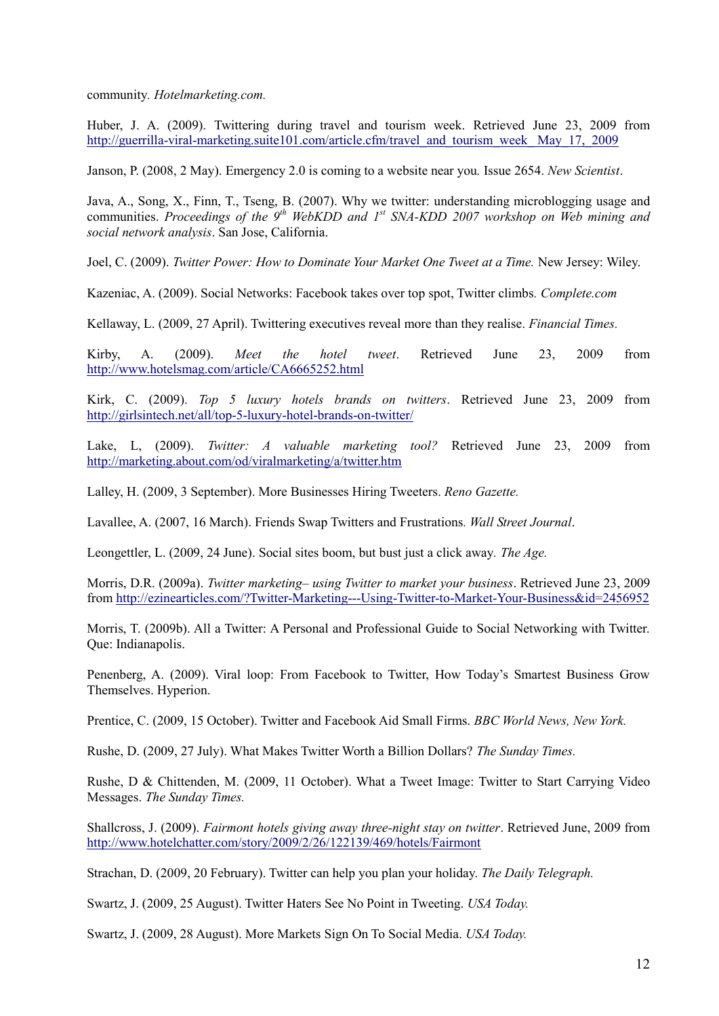community*. Hotelmarketing.com.*

Huber, J. A. (2009). Twittering during travel and tourism week. Retrieved June 23, 2009 from [http://guerrilla-viral-marketing.suite101.com/article.cfm/travel\\_and\\_tourism\\_week\\_ May\\_17,\\_2009](http://guerrilla-viral-marketing.suite101.com/article.cfm/travel_and_tourism_week_%20May_17,_2009)

Janson, P. (2008, 2 May). Emergency 2.0 is coming to a website near you*.* Issue 2654. *New Scientist*.

Java, A., Song, X., Finn, T., Tseng, B. (2007). Why we twitter: understanding microblogging usage and communities. *Proceedings of the 9th WebKDD and 1st SNA-KDD 2007 workshop on Web mining and social network analysis*. San Jose, California.

Joel, C. (2009). *Twitter Power: How to Dominate Your Market One Tweet at a Time.* New Jersey: Wiley.

Kazeniac, A. (2009). Social Networks: Facebook takes over top spot, Twitter climbs*. Complete.com*

Kellaway, L. (2009, 27 April). Twittering executives reveal more than they realise. *Financial Times.*

Kirby, A. (2009). *Meet the hotel tweet*. Retrieved June 23, 2009 from <http://www.hotelsmag.com/article/CA6665252.html>

Kirk, C. (2009). *Top 5 luxury hotels brands on twitters*. Retrieved June 23, 2009 from <http://girlsintech.net/all/top-5-luxury-hotel-brands-on-twitter/>

Lake, L, (2009). *Twitter: A valuable marketing tool?* Retrieved June 23, 2009 from <http://marketing.about.com/od/viralmarketing/a/twitter.htm>

Lalley, H. (2009, 3 September). More Businesses Hiring Tweeters. *Reno Gazette.*

Lavallee, A. (2007, 16 March). Friends Swap Twitters and Frustrations*. Wall Street Journal*.

Leongettler, L. (2009, 24 June). Social sites boom, but bust just a click away*. The Age.*

Morris, D.R. (2009a). *Twitter marketing– using Twitter to market your business*. Retrieved June 23, 2009 from<http://ezinearticles.com/?Twitter-Marketing---Using-Twitter-to-Market-Your-Business&id=2456952>

Morris, T. (2009b). All a Twitter: A Personal and Professional Guide to Social Networking with Twitter. Que: Indianapolis.

Penenberg, A. (2009). Viral loop: From Facebook to Twitter, How Today's Smartest Business Grow Themselves. Hyperion.

Prentice, C. (2009, 15 October). Twitter and Facebook Aid Small Firms. *BBC World News, New York.*

Rushe, D. (2009, 27 July). What Makes Twitter Worth a Billion Dollars? *The Sunday Times.*

Rushe, D & Chittenden, M. (2009, 11 October). What a Tweet Image: Twitter to Start Carrying Video Messages. *The Sunday Times.*

Shallcross, J. (2009). *Fairmont hotels giving away three-night stay on twitter*. Retrieved June, 2009 from <http://www.hotelchatter.com/story/2009/2/26/122139/469/hotels/Fairmont>

Strachan, D. (2009, 20 February). Twitter can help you plan your holiday. *The Daily Telegraph.*

Swartz, J. (2009, 25 August). Twitter Haters See No Point in Tweeting. *USA Today.*

Swartz, J. (2009, 28 August). More Markets Sign On To Social Media. *USA Today.*